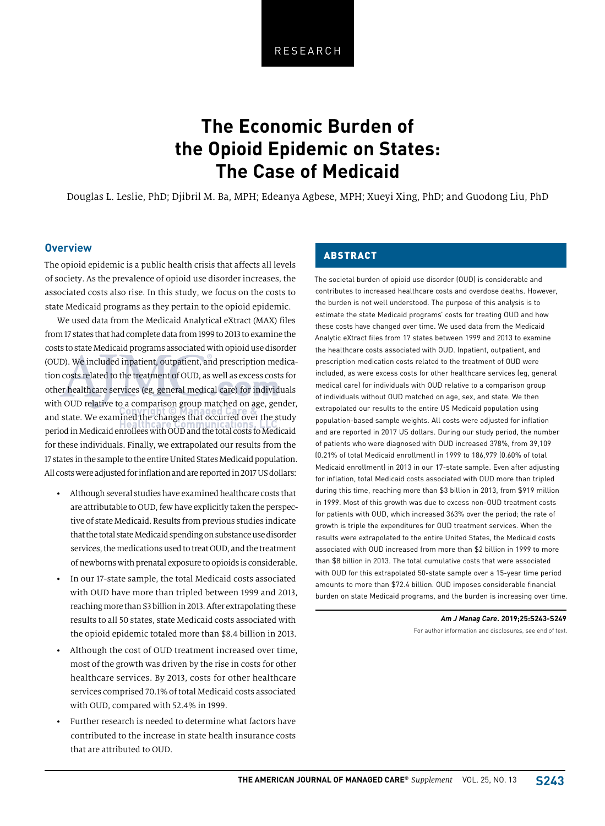# **The Economic Burden of the Opioid Epidemic on States: The Case of Medicaid**

Douglas L. Leslie, PhD; Djibril M. Ba, MPH; Edeanya Agbese, MPH; Xueyi Xing, PhD; and Guodong Liu, PhD

## **Overview**

The opioid epidemic is a public health crisis that affects all levels of society. As the prevalence of opioid use disorder increases, the associated costs also rise. In this study, we focus on the costs to state Medicaid programs as they pertain to the opioid epidemic.

We used data from the Medicaid Analytical eXtract (MAX) files from 17 states that had complete data from 1999 to 2013 to examine the costs to state Medicaid programs associated with opioid use disorder (OUD). We included inpatient, outpatient, and prescription medication costs related to the treatment of OUD, as well as excess costs for other healthcare services (eg, general medical care) for individuals with OUD relative to a comparison group matched on age, gender, and state. We examined the changes that occurred over the study period in Medicaid enrollees with OUD and the total costs to Medicaid for these individuals. Finally, we extrapolated our results from the 17 states in the sample to the entire United States Medicaid population. All costs were adjusted for inflation and are reported in 2017 US dollars:

- Although several studies have examined healthcare costs that are attributable to OUD, few have explicitly taken the perspective of state Medicaid. Results from previous studies indicate that the total state Medicaid spending on substance use disorder services, the medications used to treat OUD, and the treatment of newborns with prenatal exposure to opioids is considerable.
- In our 17-state sample, the total Medicaid costs associated with OUD have more than tripled between 1999 and 2013, reaching more than \$3 billion in 2013. After extrapolating these results to all 50 states, state Medicaid costs associated with the opioid epidemic totaled more than \$8.4 billion in 2013.
- Although the cost of OUD treatment increased over time, most of the growth was driven by the rise in costs for other healthcare services. By 2013, costs for other healthcare services comprised 70.1% of total Medicaid costs associated with OUD, compared with 52.4% in 1999.
- Further research is needed to determine what factors have contributed to the increase in state health insurance costs that are attributed to OUD.

## ABSTRACT

The societal burden of opioid use disorder (OUD) is considerable and contributes to increased healthcare costs and overdose deaths. However, the burden is not well understood. The purpose of this analysis is to estimate the state Medicaid programs' costs for treating OUD and how these costs have changed over time. We used data from the Medicaid Analytic eXtract files from 17 states between 1999 and 2013 to examine the healthcare costs associated with OUD. Inpatient, outpatient, and prescription medication costs related to the treatment of OUD were included, as were excess costs for other healthcare services (eg, general medical care) for individuals with OUD relative to a comparison group of individuals without OUD matched on age, sex, and state. We then extrapolated our results to the entire US Medicaid population using population-based sample weights. All costs were adjusted for inflation and are reported in 2017 US dollars. During our study period, the number of patients who were diagnosed with OUD increased 378%, from 39,109 (0.21% of total Medicaid enrollment) in 1999 to 186,979 (0.60% of total Medicaid enrollment) in 2013 in our 17-state sample. Even after adjusting for inflation, total Medicaid costs associated with OUD more than tripled during this time, reaching more than \$3 billion in 2013, from \$919 million in 1999. Most of this growth was due to excess non-OUD treatment costs for patients with OUD, which increased 363% over the period; the rate of growth is triple the expenditures for OUD treatment services. When the results were extrapolated to the entire United States, the Medicaid costs associated with OUD increased from more than \$2 billion in 1999 to more than \$8 billion in 2013. The total cumulative costs that were associated with OUD for this extrapolated 50-state sample over a 15-year time period amounts to more than \$72.4 billion. OUD imposes considerable financial burden on state Medicaid programs, and the burden is increasing over time.

> *Am J Manag Care***. 2019;25:S243-S249** For author information and disclosures, see end of text.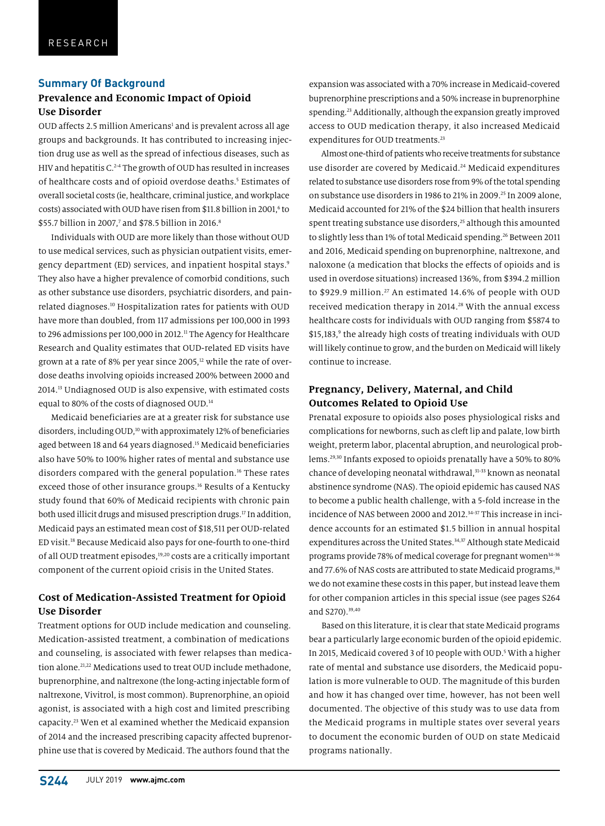#### **Summary Of Background**

## **Prevalence and Economic Impact of Opioid Use Disorder**

OUD affects 2.5 million Americans<sup>1</sup> and is prevalent across all age groups and backgrounds. It has contributed to increasing injection drug use as well as the spread of infectious diseases, such as HIV and hepatitis C.<sup>2-4</sup> The growth of OUD has resulted in increases of healthcare costs and of opioid overdose deaths.<sup>5</sup> Estimates of overall societal costs (ie, healthcare, criminal justice, and workplace costs) associated with OUD have risen from \$11.8 billion in 2001,<sup>6</sup> to \$55.7 billion in 2007,7 and \$78.5 billion in 2016.8

Individuals with OUD are more likely than those without OUD to use medical services, such as physician outpatient visits, emergency department (ED) services, and inpatient hospital stays.<sup>9</sup> They also have a higher prevalence of comorbid conditions, such as other substance use disorders, psychiatric disorders, and painrelated diagnoses.10 Hospitalization rates for patients with OUD have more than doubled, from 117 admissions per 100,000 in 1993 to 296 admissions per 100,000 in 2012.<sup>11</sup> The Agency for Healthcare Research and Quality estimates that OUD-related ED visits have grown at a rate of 8% per year since 2005, $12$  while the rate of overdose deaths involving opioids increased 200% between 2000 and 2014.13 Undiagnosed OUD is also expensive, with estimated costs equal to 80% of the costs of diagnosed OUD.<sup>14</sup>

Medicaid beneficiaries are at a greater risk for substance use disorders, including OUD,<sup>10</sup> with approximately 12% of beneficiaries aged between 18 and 64 years diagnosed.<sup>15</sup> Medicaid beneficiaries also have 50% to 100% higher rates of mental and substance use disorders compared with the general population.<sup>16</sup> These rates exceed those of other insurance groups.<sup>16</sup> Results of a Kentucky study found that 60% of Medicaid recipients with chronic pain both used illicit drugs and misused prescription drugs.<sup>17</sup> In addition, Medicaid pays an estimated mean cost of \$18,511 per OUD-related ED visit.18 Because Medicaid also pays for one-fourth to one-third of all OUD treatment episodes,<sup>19,20</sup> costs are a critically important component of the current opioid crisis in the United States.

## **Cost of Medication-Assisted Treatment for Opioid Use Disorder**

Treatment options for OUD include medication and counseling. Medication-assisted treatment, a combination of medications and counseling, is associated with fewer relapses than medication alone.<sup>21,22</sup> Medications used to treat OUD include methadone, buprenorphine, and naltrexone (the long-acting injectable form of naltrexone, Vivitrol, is most common). Buprenorphine, an opioid agonist, is associated with a high cost and limited prescribing capacity.23 Wen et al examined whether the Medicaid expansion of 2014 and the increased prescribing capacity affected buprenorphine use that is covered by Medicaid. The authors found that the

expansion was associated with a 70% increase in Medicaid-covered buprenorphine prescriptions and a 50% increase in buprenorphine spending.<sup>23</sup> Additionally, although the expansion greatly improved access to OUD medication therapy, it also increased Medicaid expenditures for OUD treatments.<sup>23</sup>

Almost one-third of patients who receive treatments for substance use disorder are covered by Medicaid.<sup>24</sup> Medicaid expenditures related to substance use disorders rose from 9% of the total spending on substance use disorders in 1986 to 21% in 2009.25 In 2009 alone, Medicaid accounted for 21% of the \$24 billion that health insurers spent treating substance use disorders,<sup>25</sup> although this amounted to slightly less than 1% of total Medicaid spending.<sup>26</sup> Between 2011 and 2016, Medicaid spending on buprenorphine, naltrexone, and naloxone (a medication that blocks the effects of opioids and is used in overdose situations) increased 136%, from \$394.2 million to \$929.9 million.<sup>27</sup> An estimated 14.6% of people with OUD received medication therapy in 2014.28 With the annual excess healthcare costs for individuals with OUD ranging from \$5874 to \$15,183,<sup>9</sup> the already high costs of treating individuals with OUD will likely continue to grow, and the burden on Medicaid will likely continue to increase.

## **Pregnancy, Delivery, Maternal, and Child Outcomes Related to Opioid Use**

Prenatal exposure to opioids also poses physiological risks and complications for newborns, such as cleft lip and palate, low birth weight, preterm labor, placental abruption, and neurological problems.29,30 Infants exposed to opioids prenatally have a 50% to 80% chance of developing neonatal withdrawal,<sup>31-33</sup> known as neonatal abstinence syndrome (NAS). The opioid epidemic has caused NAS to become a public health challenge, with a 5-fold increase in the incidence of NAS between 2000 and 2012.<sup>34-37</sup> This increase in incidence accounts for an estimated \$1.5 billion in annual hospital expenditures across the United States.<sup>34,37</sup> Although state Medicaid programs provide 78% of medical coverage for pregnant women<sup>34-36</sup> and 77.6% of NAS costs are attributed to state Medicaid programs,<sup>38</sup> we do not examine these costs in this paper, but instead leave them for other companion articles in this special issue (see pages S264 and S270).39,40

Based on this literature, it is clear that state Medicaid programs bear a particularly large economic burden of the opioid epidemic. In 2015, Medicaid covered 3 of 10 people with OUD.<sup>5</sup> With a higher rate of mental and substance use disorders, the Medicaid population is more vulnerable to OUD. The magnitude of this burden and how it has changed over time, however, has not been well documented. The objective of this study was to use data from the Medicaid programs in multiple states over several years to document the economic burden of OUD on state Medicaid programs nationally.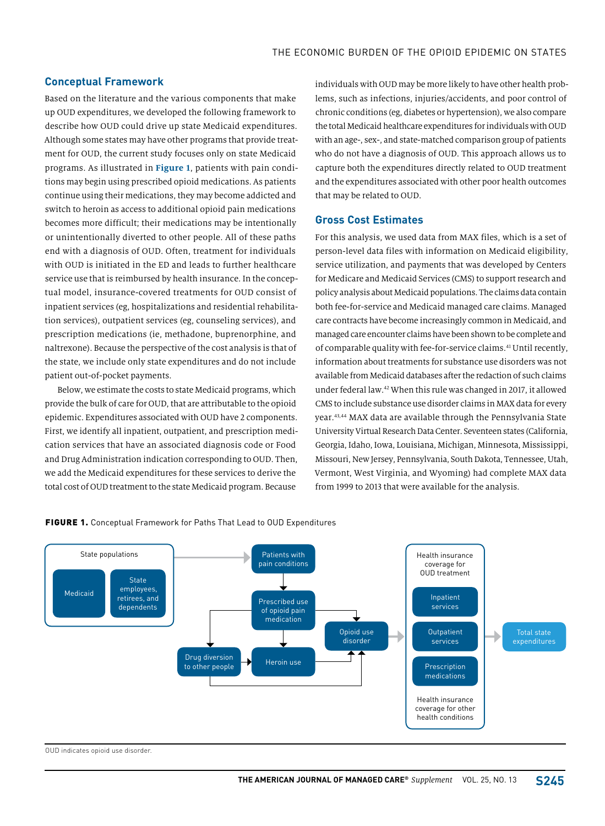#### **Conceptual Framework**

Based on the literature and the various components that make up OUD expenditures, we developed the following framework to describe how OUD could drive up state Medicaid expenditures. Although some states may have other programs that provide treatment for OUD, the current study focuses only on state Medicaid programs. As illustrated in **Figure 1**, patients with pain conditions may begin using prescribed opioid medications. As patients continue using their medications, they may become addicted and switch to heroin as access to additional opioid pain medications becomes more difficult; their medications may be intentionally or unintentionally diverted to other people. All of these paths end with a diagnosis of OUD. Often, treatment for individuals with OUD is initiated in the ED and leads to further healthcare service use that is reimbursed by health insurance. In the conceptual model, insurance-covered treatments for OUD consist of inpatient services (eg, hospitalizations and residential rehabilitation services), outpatient services (eg, counseling services), and prescription medications (ie, methadone, buprenorphine, and naltrexone). Because the perspective of the cost analysis is that of the state, we include only state expenditures and do not include patient out-of-pocket payments.

Below, we estimate the costs to state Medicaid programs, which provide the bulk of care for OUD, that are attributable to the opioid epidemic. Expenditures associated with OUD have 2 components. First, we identify all inpatient, outpatient, and prescription medication services that have an associated diagnosis code or Food and Drug Administration indication corresponding to OUD. Then, we add the Medicaid expenditures for these services to derive the total cost of OUD treatment to the state Medicaid program. Because

individuals with OUD may be more likely to have other health problems, such as infections, injuries/accidents, and poor control of chronic conditions (eg, diabetes or hypertension), we also compare the total Medicaid healthcare expenditures for individuals with OUD with an age-, sex-, and state-matched comparison group of patients who do not have a diagnosis of OUD. This approach allows us to capture both the expenditures directly related to OUD treatment and the expenditures associated with other poor health outcomes that may be related to OUD.

#### **Gross Cost Estimates**

For this analysis, we used data from MAX files, which is a set of person-level data files with information on Medicaid eligibility, service utilization, and payments that was developed by Centers for Medicare and Medicaid Services (CMS) to support research and policy analysis about Medicaid populations. The claims data contain both fee-for-service and Medicaid managed care claims. Managed care contracts have become increasingly common in Medicaid, and managed care encounter claims have been shown to be complete and of comparable quality with fee-for-service claims.41 Until recently, information about treatments for substance use disorders was not available from Medicaid databases after the redaction of such claims under federal law.42 When this rule was changed in 2017, it allowed CMS to include substance use disorder claims in MAX data for every year.43,44 MAX data are available through the Pennsylvania State University Virtual Research Data Center. Seventeen states (California, Georgia, Idaho, Iowa, Louisiana, Michigan, Minnesota, Mississippi, Missouri, New Jersey, Pennsylvania, South Dakota, Tennessee, Utah, Vermont, West Virginia, and Wyoming) had complete MAX data from 1999 to 2013 that were available for the analysis.



FIGURE 1. Conceptual Framework for Paths That Lead to OUD Expenditures

OUD indicates opioid use disorder.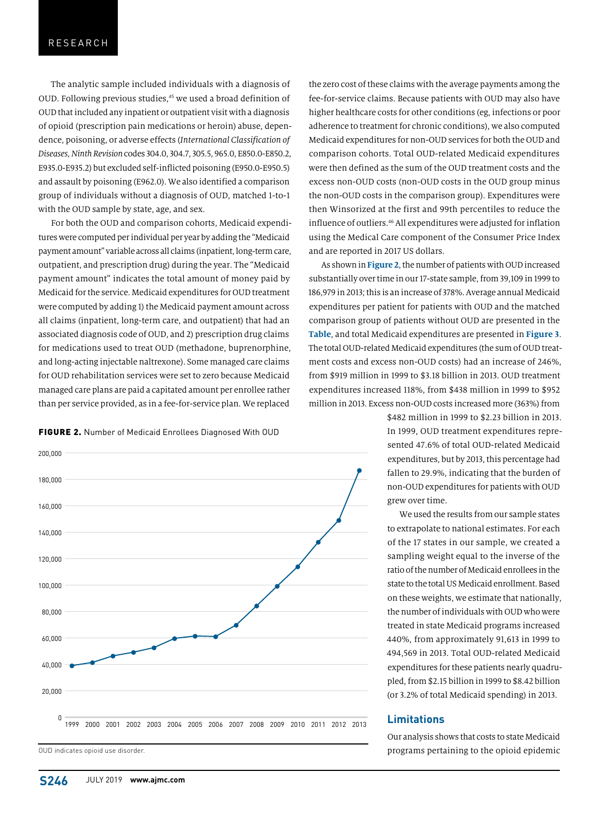The analytic sample included individuals with a diagnosis of OUD. Following previous studies,45 we used a broad definition of OUD that included any inpatient or outpatient visit with a diagnosis of opioid (prescription pain medications or heroin) abuse, dependence, poisoning, or adverse effects (*International Classification of Diseases, Ninth Revision* codes 304.0, 304.7, 305.5, 965.0, E850.0-E850.2, E935.0-E935.2) but excluded self-inflicted poisoning (E950.0-E950.5) and assault by poisoning (E962.0). We also identified a comparison group of individuals without a diagnosis of OUD, matched 1-to-1 with the OUD sample by state, age, and sex.

For both the OUD and comparison cohorts, Medicaid expenditures were computed per individual per year by adding the "Medicaid payment amount" variable across all claims (inpatient, long-term care, outpatient, and prescription drug) during the year. The "Medicaid payment amount" indicates the total amount of money paid by Medicaid for the service. Medicaid expenditures for OUD treatment were computed by adding 1) the Medicaid payment amount across all claims (inpatient, long-term care, and outpatient) that had an associated diagnosis code of OUD, and 2) prescription drug claims for medications used to treat OUD (methadone, buprenorphine, and long-acting injectable naltrexone). Some managed care claims for OUD rehabilitation services were set to zero because Medicaid managed care plans are paid a capitated amount per enrollee rather than per service provided, as in a fee-for-service plan. We replaced

#### FIGURE 2. Number of Medicaid Enrollees Diagnosed With OUD



OUD indicates opioid use disorder.

the zero cost of these claims with the average payments among the fee-for-service claims. Because patients with OUD may also have higher healthcare costs for other conditions (eg, infections or poor adherence to treatment for chronic conditions), we also computed Medicaid expenditures for non-OUD services for both the OUD and comparison cohorts. Total OUD-related Medicaid expenditures were then defined as the sum of the OUD treatment costs and the excess non-OUD costs (non-OUD costs in the OUD group minus the non-OUD costs in the comparison group). Expenditures were then Winsorized at the first and 99th percentiles to reduce the influence of outliers.46 All expenditures were adjusted for inflation using the Medical Care component of the Consumer Price Index and are reported in 2017 US dollars.

As shown in **Figure 2**, the number of patients with OUD increased substantially over time in our 17-state sample, from 39,109 in 1999 to 186,979 in 2013; this is an increase of 378%. Average annual Medicaid expenditures per patient for patients with OUD and the matched comparison group of patients without OUD are presented in the **Table**, and total Medicaid expenditures are presented in **Figure 3**. The total OUD-related Medicaid expenditures (the sum of OUD treatment costs and excess non-OUD costs) had an increase of 246%, from \$919 million in 1999 to \$3.18 billion in 2013. OUD treatment expenditures increased 118%, from \$438 million in 1999 to \$952 million in 2013. Excess non-OUD costs increased more (363%) from

> \$482 million in 1999 to \$2.23 billion in 2013. In 1999, OUD treatment expenditures represented 47.6% of total OUD-related Medicaid expenditures, but by 2013, this percentage had fallen to 29.9%, indicating that the burden of non-OUD expenditures for patients with OUD grew over time.

> We used the results from our sample states to extrapolate to national estimates. For each of the 17 states in our sample, we created a sampling weight equal to the inverse of the ratio of the number of Medicaid enrollees in the state to the total US Medicaid enrollment. Based on these weights, we estimate that nationally, the number of individuals with OUD who were treated in state Medicaid programs increased 440%, from approximately 91,613 in 1999 to 494,569 in 2013. Total OUD-related Medicaid expenditures for these patients nearly quadrupled, from \$2.15 billion in 1999 to \$8.42 billion (or 3.2% of total Medicaid spending) in 2013.

#### **Limitations**

Our analysis shows that costs to state Medicaid programs pertaining to the opioid epidemic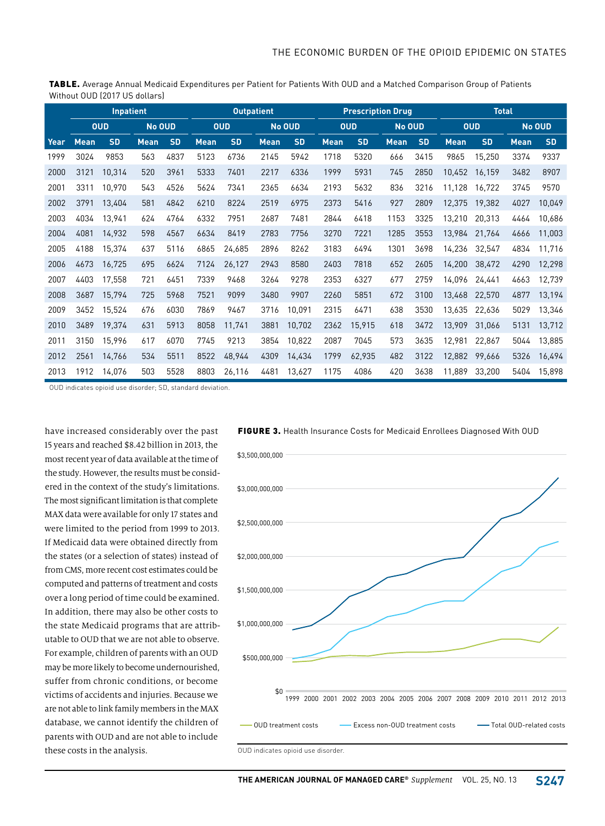TABLE. Average Annual Medicaid Expenditures per Patient for Patients With OUD and a Matched Comparison Group of Patients Without OUD (2017 US dollars)

|      | Inpatient   |           |             |           | <b>Outpatient</b> |           |             |           | <b>Prescription Drug</b> |           |             |           | <b>Total</b> |           |             |           |
|------|-------------|-----------|-------------|-----------|-------------------|-----------|-------------|-----------|--------------------------|-----------|-------------|-----------|--------------|-----------|-------------|-----------|
|      | <b>OUD</b>  |           | No OUD      |           | <b>OUD</b>        |           | No OUD      |           | <b>OUD</b>               |           | No OUD      |           | <b>OUD</b>   |           | No OUD      |           |
| Year | <b>Mean</b> | <b>SD</b> | <b>Mean</b> | <b>SD</b> | <b>Mean</b>       | <b>SD</b> | <b>Mean</b> | <b>SD</b> | <b>Mean</b>              | <b>SD</b> | <b>Mean</b> | <b>SD</b> | <b>Mean</b>  | <b>SD</b> | <b>Mean</b> | <b>SD</b> |
| 1999 | 3024        | 9853      | 563         | 4837      | 5123              | 6736      | 2145        | 5942      | 1718                     | 5320      | 666         | 3415      | 9865         | 15.250    | 3374        | 9337      |
| 2000 | 3121        | 10,314    | 520         | 3961      | 5333              | 7401      | 2217        | 6336      | 1999                     | 5931      | 745         | 2850      | 10.452       | 16,159    | 3482        | 8907      |
| 2001 | 3311        | 10.970    | 543         | 4526      | 5624              | 7341      | 2365        | 6634      | 2193                     | 5632      | 836         | 3216      | 11,128       | 16,722    | 3745        | 9570      |
| 2002 | 3791        | 13,404    | 581         | 4842      | 6210              | 8224      | 2519        | 6975      | 2373                     | 5416      | 927         | 2809      | 12,375       | 19,382    | 4027        | 10,049    |
| 2003 | 4034        | 13.941    | 624         | 4764      | 6332              | 7951      | 2687        | 7481      | 2844                     | 6418      | 1153        | 3325      | 13,210       | 20,313    | 4464        | 10,686    |
| 2004 | 4081        | 14,932    | 598         | 4567      | 6634              | 8419      | 2783        | 7756      | 3270                     | 7221      | 1285        | 3553      | 13,984       | 21,764    | 4666        | 11,003    |
| 2005 | 4188        | 15,374    | 637         | 5116      | 6865              | 24,685    | 2896        | 8262      | 3183                     | 6494      | 1301        | 3698      | 14,236       | 32,547    | 4834        | 11,716    |
| 2006 | 4673        | 16,725    | 695         | 6624      | 7124              | 26,127    | 2943        | 8580      | 2403                     | 7818      | 652         | 2605      | 14,200       | 38,472    | 4290        | 12,298    |
| 2007 | 4403        | 17,558    | 721         | 6451      | 7339              | 9468      | 3264        | 9278      | 2353                     | 6327      | 677         | 2759      | 14,096       | 24,441    | 4663        | 12,739    |
| 2008 | 3687        | 15,794    | 725         | 5968      | 7521              | 9099      | 3480        | 9907      | 2260                     | 5851      | 672         | 3100      | 13,468       | 22,570    | 4877        | 13,194    |
| 2009 | 3452        | 15,524    | 676         | 6030      | 7869              | 9467      | 3716        | 10,091    | 2315                     | 6471      | 638         | 3530      | 13,635       | 22,636    | 5029        | 13,346    |
| 2010 | 3489        | 19,374    | 631         | 5913      | 8058              | 11,741    | 3881        | 10,702    | 2362                     | 15.915    | 618         | 3472      | 13,909       | 31,066    | 5131        | 13,712    |
| 2011 | 3150        | 15,996    | 617         | 6070      | 7745              | 9213      | 3854        | 10,822    | 2087                     | 7045      | 573         | 3635      | 12,981       | 22,867    | 5044        | 13,885    |
| 2012 | 2561        | 14,766    | 534         | 5511      | 8522              | 48,944    | 4309        | 14,434    | 1799                     | 62,935    | 482         | 3122      | 12,882       | 99,666    | 5326        | 16,494    |
| 2013 | 1912        | 14.076    | 503         | 5528      | 8803              | 26,116    | 4481        | 13.627    | 1175                     | 4086      | 420         | 3638      | 11.889       | 33.200    | 5404        | 15,898    |

OUD indicates opioid use disorder; SD, standard deviation.

have increased considerably over the past 15 years and reached \$8.42 billion in 2013, the most recent year of data available at the time of the study. However, the results must be considered in the context of the study's limitations. The most significant limitation is that complete MAX data were available for only 17 states and were limited to the period from 1999 to 2013. If Medicaid data were obtained directly from the states (or a selection of states) instead of from CMS, more recent cost estimates could be computed and patterns of treatment and costs over a long period of time could be examined. In addition, there may also be other costs to the state Medicaid programs that are attributable to OUD that we are not able to observe. For example, children of parents with an OUD may be more likely to become undernourished, suffer from chronic conditions, or become victims of accidents and injuries. Because we are not able to link family members in the MAX database, we cannot identify the children of parents with OUD and are not able to include these costs in the analysis.



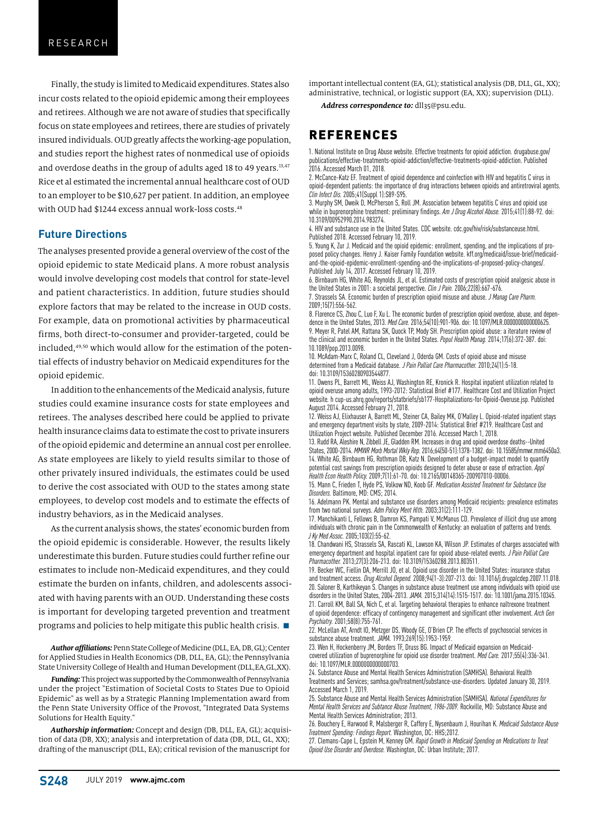Finally, the study is limited to Medicaid expenditures. States also incur costs related to the opioid epidemic among their employees and retirees. Although we are not aware of studies that specifically focus on state employees and retirees, there are studies of privately insured individuals. OUD greatly affects the working-age population, and studies report the highest rates of nonmedical use of opioids and overdose deaths in the group of adults aged 18 to 49 years.<sup>13,47</sup> Rice et al estimated the incremental annual healthcare cost of OUD to an employer to be \$10,627 per patient. In addition, an employee with OUD had \$1244 excess annual work-loss costs.<sup>48</sup>

### **Future Directions**

The analyses presented provide a general overview of the cost of the opioid epidemic to state Medicaid plans. A more robust analysis would involve developing cost models that control for state-level and patient characteristics. In addition, future studies should explore factors that may be related to the increase in OUD costs. For example, data on promotional activities by pharmaceutical firms, both direct-to-consumer and provider-targeted, could be included,49,50 which would allow for the estimation of the potential effects of industry behavior on Medicaid expenditures for the opioid epidemic.

In addition to the enhancements of the Medicaid analysis, future studies could examine insurance costs for state employees and retirees. The analyses described here could be applied to private health insurance claims data to estimate the cost to private insurers of the opioid epidemic and determine an annual cost per enrollee. As state employees are likely to yield results similar to those of other privately insured individuals, the estimates could be used to derive the cost associated with OUD to the states among state employees, to develop cost models and to estimate the effects of industry behaviors, as in the Medicaid analyses.

As the current analysis shows, the states' economic burden from the opioid epidemic is considerable. However, the results likely underestimate this burden. Future studies could further refine our estimates to include non-Medicaid expenditures, and they could estimate the burden on infants, children, and adolescents associated with having parents with an OUD. Understanding these costs is important for developing targeted prevention and treatment programs and policies to help mitigate this public health crisis.  $\blacksquare$ 

*Author affiliations:* Penn State College of Medicine (DLL, EA, DB, GL); Center for Applied Studies in Health Economics (DB, DLL, EA, GL); the Pennsylvania State University College of Health and Human Development (DLL,EA,GL,XX).

*Funding:* This project was supported by the Commonwealth of Pennsylvania under the project "Estimation of Societal Costs to States Due to Opioid Epidemic" as well as by a Strategic Planning Implementation award from the Penn State University Office of the Provost, "Integrated Data Systems Solutions for Health Equity."

*Authorship information:* Concept and design (DB, DLL, EA, GL); acquisition of data (DB, XX); analysis and interpretation of data (DB, DLL, GL, XX); drafting of the manuscript (DLL, EA); critical revision of the manuscript for

important intellectual content (EA, GL); statistical analysis (DB, DLL, GL, XX); administrative, technical, or logistic support (EA, XX); supervision (DLL).

Address correspondence to: dll35@psu.edu.

## REFERENCES

1. National Institute on Drug Abuse website. Effective treatments for opioid addiction. drugabuse.gov/ publications/effective-treatments-opioid-addiction/effective-treatments-opioid-addiction. Published 2016. Accessed March 01, 2018.

2. McCance-Katz EF. Treatment of opioid dependence and coinfection with HIV and hepatitis C virus in opioid-dependent patients: the importance of drug interactions between opioids and antiretroviral agents. *Clin Infect Dis.* 2005;41(Suppl 1):S89-S95.

3. Murphy SM, Dweik D, McPherson S, Roll JM. Association between hepatitis C virus and opioid use while in buprenorphine treatment: preliminary findings. *Am J Drug Alcohol Abuse.* 2015;41(1):88-92. doi: 10.3109/00952990.2014.983274.

4. HIV and substance use in the United States. CDC website. cdc.gov/hiv/risk/substanceuse.html. Published 2018. Accessed February 10, 2019.

5. Young K, Zur J. Medicaid and the opioid epidemic: enrollment, spending, and the implications of proposed policy changes. Henry J. Kaiser Family Foundation website. kff.org/medicaid/issue-brief/medicaidand-the-opioid-epidemic-enrollment-spending-and-the-implications-of-proposed-policy-changes/. Published July 14, 2017. Accessed February 10, 2019.

6. Birnbaum HG, White AG, Reynolds JL, et al. Estimated costs of prescription opioid analgesic abuse in the United States in 2001: a societal perspective. *Clin J Pain.* 2006;22(8):667-676.

7. Strassels SA. Economic burden of prescription opioid misuse and abuse. *J Manag Care Pharm.*  2009;15(7):556-562.

8. Florence CS, Zhou C, Luo F, Xu L. The economic burden of prescription opioid overdose, abuse, and dependence in the United States, 2013. *Med Care.* 2016;54(10):901-906. doi: 10.1097/MLR.0000000000000625. 9. Meyer R, Patel AM, Rattana SK, Quock TP, Mody SH. Prescription opioid abuse: a iterature review of

the clinical and economic burden in the United States. *Popul Health Manag.* 2014;17(6):372-387. doi: 10.1089/pop.2013.0098.

10. McAdam-Marx C, Roland CL, Cleveland J, Oderda GM. Costs of opioid abuse and misuse determined from a Medicaid database. *J Pain Palliat Care Pharmacother.* 2010;24(1):5-18. doi: 10.3109/15360280903544877.

11. Owens PL, Barrett ML, Weiss AJ, Washington RE, Kronick R. Hospital inpatient utilization related to opioid overuse among adults, 1993-2012: Statistical Brief #177. Healthcare Cost and Utilization Project website*.* h cup-us.ahrq.gov/reports/statbriefs/sb177-Hospitalizations-for-Opioid-Overuse.jsp. Published August 2014. Accessed February 21, 2018.

12. Weiss AJ, Elixhauser A, Barrett ML, Steiner CA, Bailey MK, O'Malley L. Opioid-related inpatient stays and emergency department visits by state, 2009-2014: Statistical Brief #219. Healthcare Cost and Utilization Project website. Published December 2016. Accessed March 1, 2018.

13. Rudd RA, Aleshire N, Zibbell JE, Gladden RM. Increases in drug and opioid overdose deaths--United States, 2000-2014. *MMWR Morb Mortal Wkly Rep.* 2016;64(50-51):1378-1382. doi: 10.15585/mmwr.mm6450a3. 14. White AG, Birnbaum HG, Rothman DB, Katz N. Development of a budget-impact model to quantify potential cost savings from prescription opioids designed to deter abuse or ease of extraction. *Appl Health Econ Health Policy.* 2009;7(1):61-70. doi: 10.2165/00148365-200907010-00006.

15. Mann C, Frieden T, Hyde PS, Volkow ND, Koob GF. *Medication Assisted Treatment for Substance Use Disorders.* Baltimore, MD: CMS; 2014.

16. Adelmann PK. Mental and substance use disorders among Medicaid recipients: prevalence estimates from two national surveys. *Adm Policy Ment Hlth.* 2003;31(2):111-129.

17. Manchikanti L, Fellows B, Damron KS, Pampati V, McManus CD. Prevalence of illicit drug use among individuals with chronic pain in the Commonwealth of Kentucky: an evaluation of patterns and trends. *J Ky Med Assoc.* 2005;103(2):55-62.

18. Chandwani HS, Strassels SA, Rascati KL, Lawson KA, Wilson JP. Estimates of charges associated with emergency department and hospital inpatient care for opioid abuse-related events. *J Pain Palliat Care Pharmacother.* 2013;27(3):206-213. doi: 10.3109/15360288.2013.803511.

19. Becker WC, Fiellin DA, Merrill JO, et al. Opioid use disorder in the United States: insurance status and treatment access. *Drug Alcohol Depend.* 2008;94(1-3):207-213. doi: 10.1016/j.drugalcdep.2007.11.018. 20. Saloner B, Karthikeyan S. Changes in substance abuse treatment use among individuals with opioid use disorders in the United States, 2004-2013. *JAMA.* 2015;314(14):1515-1517. doi: 10.1001/jama.2015.10345. 21. Carroll KM, Ball SA, Nich C, et al. Targeting behavioral therapies to enhance naltrexone treatment of opioid dependence: efficacy of contingency management and significant other involvement. *Arch Gen Psychiatry.* 2001;58(8):755-761.

22. McLellan AT, Arndt IO, Metzger DS, Woody GE, O'Brien CP. The effects of psychosocial services in substance abuse treatment. *JAMA.* 1993;269(15):1953-1959.

23. Wen H, Hockenberry JM, Borders TF, Druss BG. Impact of Medicaid expansion on Medicaidcovered utilization of buprenorphine for opioid use disorder treatment. *Med Care.* 2017;55(4):336-341. doi: 10.1097/MLR.0000000000000703.

24. Substance Abuse and Mental Health Services Administration (SAMHSA). Behavioral Health Treatments and Services; samhsa.gov/treatment/substance-use-disorders. Updated January 30, 2019. Accessed March 1, 2019.

25. Substance Abuse and Mental Health Services Administration (SAMHSA). *National Expenditures for Mental Health Services and Subtance Abuse Treatment, 1986-2009.* Rockville, MD: Substance Abuse and Mental Health Services Administration; 2013.

26. Bouchery E, Harwood R, Malsberger R, Caffery E, Nysenbaum J, Hourihan K. *Medicaid Substance Abuse Treatment Spending: Findings Report.* Washington, DC: HHS;2012.

27. Clemans-Cape L, Epstein M, Kenney GM. *Rapid Growth in Medicaid Spending on Medications to Treat Opioid Use Disorder and Overdose.* Washington, DC: Urban Institute; 2017.